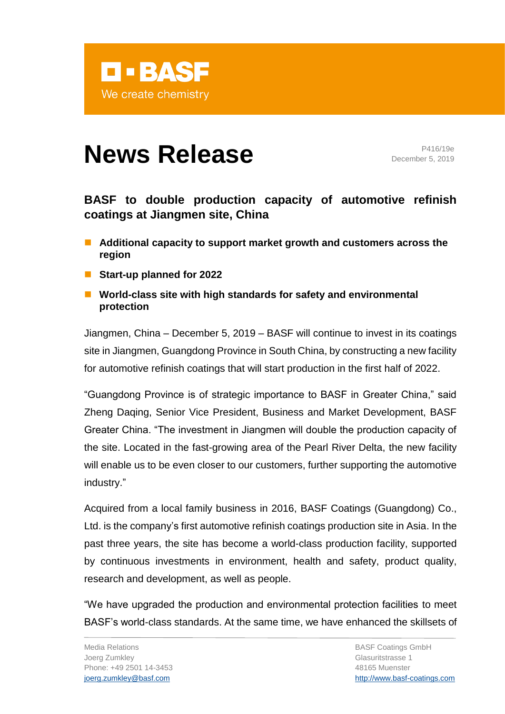

## **News Release** P416/19e

December 5, 2019

## **BASF to double production capacity of automotive refinish coatings at Jiangmen site, China**

- Additional capacity to support market growth and customers across the **region**
- Start-up planned for 2022
- World-class site with high standards for safety and environmental **protection**

Jiangmen, China – December 5, 2019 – BASF will continue to invest in its coatings site in Jiangmen, Guangdong Province in South China, by constructing a new facility for automotive refinish coatings that will start production in the first half of 2022.

"Guangdong Province is of strategic importance to BASF in Greater China," said Zheng Daqing, Senior Vice President, Business and Market Development, BASF Greater China. "The investment in Jiangmen will double the production capacity of the site. Located in the fast-growing area of the Pearl River Delta, the new facility will enable us to be even closer to our customers, further supporting the automotive industry."

Acquired from a local family business in 2016, BASF Coatings (Guangdong) Co., Ltd. is the company's first automotive refinish coatings production site in Asia. In the past three years, the site has become a world-class production facility, supported by continuous investments in environment, health and safety, product quality, research and development, as well as people.

"We have upgraded the production and environmental protection facilities to meet BASF's world-class standards. At the same time, we have enhanced the skillsets of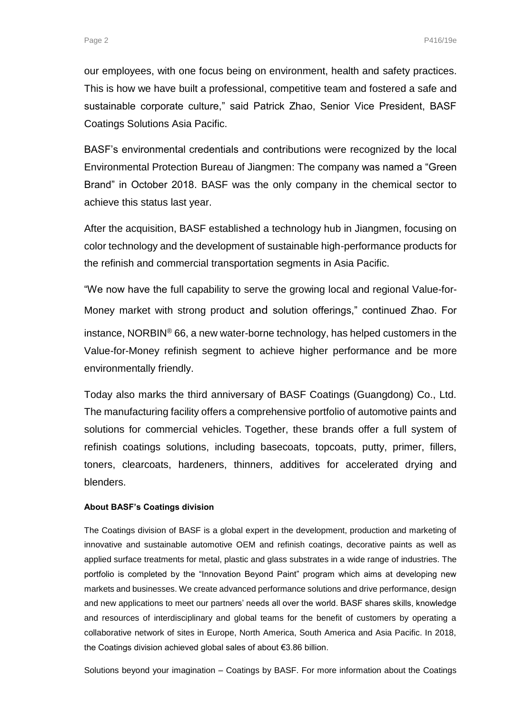our employees, with one focus being on environment, health and safety practices. This is how we have built a professional, competitive team and fostered a safe and sustainable corporate culture," said Patrick Zhao, Senior Vice President, BASF Coatings Solutions Asia Pacific.

BASF's environmental credentials and contributions were recognized by the local Environmental Protection Bureau of Jiangmen: The company was named a "Green Brand" in October 2018. BASF was the only company in the chemical sector to achieve this status last year.

After the acquisition, BASF established a technology hub in Jiangmen, focusing on color technology and the development of sustainable high-performance products for the refinish and commercial transportation segments in Asia Pacific.

"We now have the full capability to serve the growing local and regional Value-for-Money market with strong product and solution offerings," continued Zhao. For instance, NORBIN® 66, a new water-borne technology, has helped customers in the Value-for-Money refinish segment to achieve higher performance and be more environmentally friendly.

Today also marks the third anniversary of BASF Coatings (Guangdong) Co., Ltd. The manufacturing facility offers a comprehensive portfolio of automotive paints and solutions for commercial vehicles. Together, these brands offer a full system of refinish coatings solutions, including basecoats, topcoats, putty, primer, fillers, toners, clearcoats, hardeners, thinners, additives for accelerated drying and blenders.

## **About BASF's Coatings division**

The Coatings division of BASF is a global expert in the development, production and marketing of innovative and sustainable automotive OEM and refinish coatings, decorative paints as well as applied surface treatments for metal, plastic and glass substrates in a wide range of industries. The portfolio is completed by the "Innovation Beyond Paint" program which aims at developing new markets and businesses. We create advanced performance solutions and drive performance, design and new applications to meet our partners' needs all over the world. BASF shares skills, knowledge and resources of interdisciplinary and global teams for the benefit of customers by operating a collaborative network of sites in Europe, North America, South America and Asia Pacific. In 2018, the Coatings division achieved global sales of about €3.86 billion.

Solutions beyond your imagination – Coatings by BASF. For more information about the Coatings